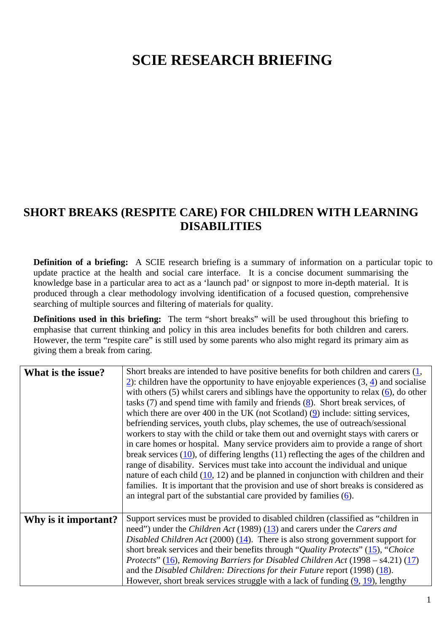## **SCIE RESEARCH BRIEFING**

## **SHORT BREAKS (RESPITE CARE) FOR CHILDREN WITH LEARNING DISABILITIES**

**Definition of a briefing:** A SCIE research briefing is a summary of information on a particular topic to update practice at the health and social care interface. It is a concise document summarising the knowledge base in a particular area to act as a 'launch pad' or signpost to more in-depth material. It is produced through a clear methodology involving identification of a focused question, comprehensive searching of multiple sources and filtering of materials for quality.

**Definitions used in this briefing:** The term "short breaks" will be used throughout this briefing to emphasise that current thinking and policy in this area includes benefits for both children and carers. However, the term "respite care" is still used by some parents who also might regard its primary aim as giving them a break from caring.

| What is the issue?   | Short breaks are intended to have positive benefits for both children and carers $(1, 1)$<br>2): children have the opportunity to have enjoyable experiences $(3, 4)$ and socialise<br>with others $(5)$ whilst cares and siblings have the opportunity to relax $(6)$ , do other<br>tasks $(7)$ and spend time with family and friends $(8)$ . Short break services, of<br>which there are over 400 in the UK (not Scotland) $(9)$ include: sitting services,<br>befriending services, youth clubs, play schemes, the use of outreach/sessional<br>workers to stay with the child or take them out and overnight stays with carers or<br>in care homes or hospital. Many service providers aim to provide a range of short<br>break services $(10)$ , of differing lengths $(11)$ reflecting the ages of the children and<br>range of disability. Services must take into account the individual and unique<br>nature of each child $(10, 12)$ and be planned in conjunction with children and their<br>families. It is important that the provision and use of short breaks is considered as<br>an integral part of the substantial care provided by families $(6)$ . |
|----------------------|-------------------------------------------------------------------------------------------------------------------------------------------------------------------------------------------------------------------------------------------------------------------------------------------------------------------------------------------------------------------------------------------------------------------------------------------------------------------------------------------------------------------------------------------------------------------------------------------------------------------------------------------------------------------------------------------------------------------------------------------------------------------------------------------------------------------------------------------------------------------------------------------------------------------------------------------------------------------------------------------------------------------------------------------------------------------------------------------------------------------------------------------------------------------------|
| Why is it important? | Support services must be provided to disabled children (classified as "children in<br>need") under the <i>Children Act</i> (1989) (13) and carers under the <i>Carers and</i><br>Disabled Children Act (2000) (14). There is also strong government support for<br>short break services and their benefits through "Quality Protects" (15), "Choice<br><i>Protects</i> " (16), <i>Removing Barriers for Disabled Children Act</i> (1998 – s4.21) (17)<br>and the Disabled Children: Directions for their Future report (1998) $(18)$ .<br>However, short break services struggle with a lack of funding $(9, 19)$ , lengthy                                                                                                                                                                                                                                                                                                                                                                                                                                                                                                                                             |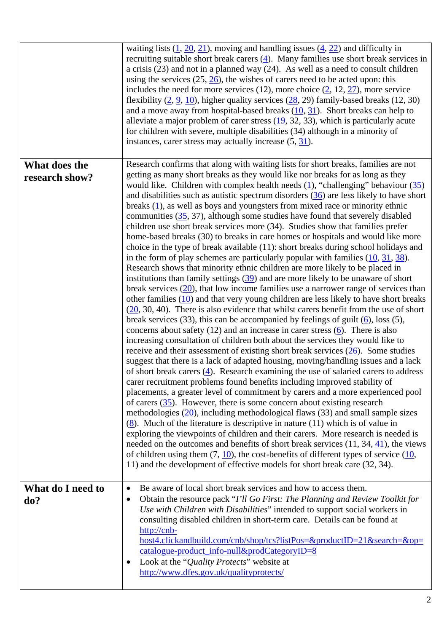|                                 | waiting lists $(1, 20, 21)$ , moving and handling issues $(4, 22)$ and difficulty in<br>recruiting suitable short break carers $(4)$ . Many families use short break services in<br>a crisis $(23)$ and not in a planned way $(24)$ . As well as a need to consult children<br>using the services $(25, 26)$ , the wishes of carers need to be acted upon: this<br>includes the need for more services (12), more choice $(2, 12, 27)$ , more service<br>flexibility $(2, 9, 10)$ , higher quality services $(28, 29)$ family-based breaks (12, 30)<br>and a move away from hospital-based breaks $(10, 31)$ . Short breaks can help to<br>alleviate a major problem of carer stress $(19, 32, 33)$ , which is particularly acute<br>for children with severe, multiple disabilities (34) although in a minority of<br>instances, carer stress may actually increase $(5, 31)$ .                                                                                                                                                                                                                                                                                                                                                                                                                                                                                                                                                                                                                                                                                                                                                                                                                                                                                                                                                                                                                                                                                                                                                                                                                                                                                                                                                                                                                                                                                                                                                                                                                                                                                                                                                                                        |
|---------------------------------|-------------------------------------------------------------------------------------------------------------------------------------------------------------------------------------------------------------------------------------------------------------------------------------------------------------------------------------------------------------------------------------------------------------------------------------------------------------------------------------------------------------------------------------------------------------------------------------------------------------------------------------------------------------------------------------------------------------------------------------------------------------------------------------------------------------------------------------------------------------------------------------------------------------------------------------------------------------------------------------------------------------------------------------------------------------------------------------------------------------------------------------------------------------------------------------------------------------------------------------------------------------------------------------------------------------------------------------------------------------------------------------------------------------------------------------------------------------------------------------------------------------------------------------------------------------------------------------------------------------------------------------------------------------------------------------------------------------------------------------------------------------------------------------------------------------------------------------------------------------------------------------------------------------------------------------------------------------------------------------------------------------------------------------------------------------------------------------------------------------------------------------------------------------------------------------------------------------------------------------------------------------------------------------------------------------------------------------------------------------------------------------------------------------------------------------------------------------------------------------------------------------------------------------------------------------------------------------------------------------------------------------------------------------------------|
| What does the<br>research show? | Research confirms that along with waiting lists for short breaks, families are not<br>getting as many short breaks as they would like nor breaks for as long as they<br>would like. Children with complex health needs $(1)$ , "challenging" behaviour $(35)$<br>and disabilities such as autistic spectrum disorders $(36)$ are less likely to have short<br>breaks $(1)$ , as well as boys and youngsters from mixed race or minority ethnic<br>communities $(35, 37)$ , although some studies have found that severely disabled<br>children use short break services more (34). Studies show that families prefer<br>home-based breaks (30) to breaks in care homes or hospitals and would like more<br>choice in the type of break available (11): short breaks during school holidays and<br>in the form of play schemes are particularly popular with families $(10, 31, 38)$ .<br>Research shows that minority ethnic children are more likely to be placed in<br>institutions than family settings $(39)$ and are more likely to be unaware of short<br>break services $(20)$ , that low income families use a narrower range of services than<br>other families $(10)$ and that very young children are less likely to have short breaks<br>$(20, 30, 40)$ . There is also evidence that whilst carers benefit from the use of short<br>break services (33), this can be accompanied by feelings of guilt $(6)$ , loss (5),<br>concerns about safety $(12)$ and an increase in carer stress $(6)$ . There is also<br>increasing consultation of children both about the services they would like to<br>receive and their assessment of existing short break services $(26)$ . Some studies<br>suggest that there is a lack of adapted housing, moving/handling issues and a lack<br>of short break carers (4). Research examining the use of salaried carers to address<br>carer recruitment problems found benefits including improved stability of<br>placements, a greater level of commitment by carers and a more experienced pool<br>of carers $(35)$ . However, there is some concern about existing research<br>methodologies $(20)$ , including methodological flaws $(33)$ and small sample sizes<br>$(8)$ . Much of the literature is descriptive in nature (11) which is of value in<br>exploring the viewpoints of children and their carers. More research is needed is<br>needed on the outcomes and benefits of short break services $(11, 34, 41)$ , the views<br>of children using them $(7, 10)$ , the cost-benefits of different types of service $(10, 10)$<br>11) and the development of effective models for short break care (32, 34). |
| What do I need to<br>do?        | Be aware of local short break services and how to access them.<br>٠<br>Obtain the resource pack "I'll Go First: The Planning and Review Toolkit for<br>$\bullet$<br>Use with Children with Disabilities" intended to support social workers in<br>consulting disabled children in short-term care. Details can be found at<br>http://cnb-<br>host4.clickandbuild.com/cnb/shop/tcs?listPos=&productID=21&search=&op=<br>catalogue-product_info-null&prodCategoryID=8<br>Look at the "Quality Protects" website at<br>http://www.dfes.gov.uk/qualityprotects/                                                                                                                                                                                                                                                                                                                                                                                                                                                                                                                                                                                                                                                                                                                                                                                                                                                                                                                                                                                                                                                                                                                                                                                                                                                                                                                                                                                                                                                                                                                                                                                                                                                                                                                                                                                                                                                                                                                                                                                                                                                                                                             |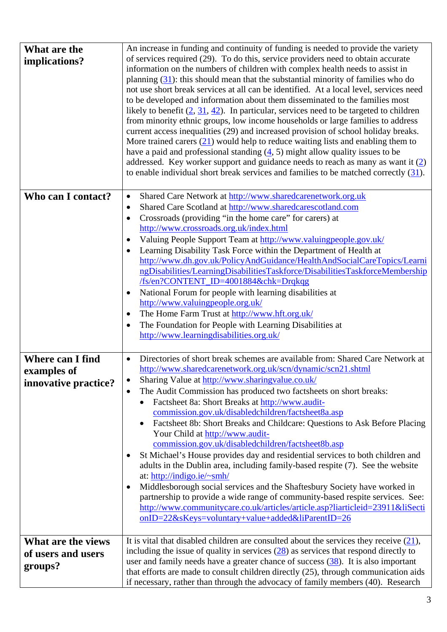| What are the<br>implications? | An increase in funding and continuity of funding is needed to provide the variety<br>of services required (29). To do this, service providers need to obtain accurate<br>information on the numbers of children with complex health needs to assist in                                                                                                                                                                                                                                                                                                                                                                    |
|-------------------------------|---------------------------------------------------------------------------------------------------------------------------------------------------------------------------------------------------------------------------------------------------------------------------------------------------------------------------------------------------------------------------------------------------------------------------------------------------------------------------------------------------------------------------------------------------------------------------------------------------------------------------|
|                               | planning $(31)$ : this should mean that the substantial minority of families who do<br>not use short break services at all can be identified. At a local level, services need<br>to be developed and information about them disseminated to the families most<br>likely to benefit $(2, 31, 42)$ . In particular, services need to be targeted to children<br>from minority ethnic groups, low income households or large families to address<br>current access inequalities (29) and increased provision of school holiday breaks.<br>More trained carers $(21)$ would help to reduce waiting lists and enabling them to |
|                               | have a paid and professional standing $(4, 5)$ might allow quality issues to be<br>addressed. Key worker support and guidance needs to reach as many as want it $(2)$<br>to enable individual short break services and families to be matched correctly $(31)$ .                                                                                                                                                                                                                                                                                                                                                          |
| Who can I contact?            | Shared Care Network at http://www.sharedcarenetwork.org.uk<br>$\bullet$                                                                                                                                                                                                                                                                                                                                                                                                                                                                                                                                                   |
|                               | Shared Care Scotland at http://www.sharedcarescotland.com<br>$\bullet$                                                                                                                                                                                                                                                                                                                                                                                                                                                                                                                                                    |
|                               | Crossroads (providing "in the home care" for carers) at<br>$\bullet$                                                                                                                                                                                                                                                                                                                                                                                                                                                                                                                                                      |
|                               | http://www.crossroads.org.uk/index.html                                                                                                                                                                                                                                                                                                                                                                                                                                                                                                                                                                                   |
|                               | Valuing People Support Team at http://www.valuingpeople.gov.uk/                                                                                                                                                                                                                                                                                                                                                                                                                                                                                                                                                           |
|                               | Learning Disability Task Force within the Department of Health at                                                                                                                                                                                                                                                                                                                                                                                                                                                                                                                                                         |
|                               | http://www.dh.gov.uk/PolicyAndGuidance/HealthAndSocialCareTopics/Learni                                                                                                                                                                                                                                                                                                                                                                                                                                                                                                                                                   |
|                               | ngDisabilities/LearningDisabilitiesTaskforce/DisabilitiesTaskforceMembership                                                                                                                                                                                                                                                                                                                                                                                                                                                                                                                                              |
|                               | /fs/en?CONTENT_ID=4001884&chk=Drqkqg                                                                                                                                                                                                                                                                                                                                                                                                                                                                                                                                                                                      |
|                               | National Forum for people with learning disabilities at                                                                                                                                                                                                                                                                                                                                                                                                                                                                                                                                                                   |
|                               | http://www.valuingpeople.org.uk/                                                                                                                                                                                                                                                                                                                                                                                                                                                                                                                                                                                          |
|                               | The Home Farm Trust at http://www.hft.org.uk/                                                                                                                                                                                                                                                                                                                                                                                                                                                                                                                                                                             |
|                               | The Foundation for People with Learning Disabilities at<br>http://www.learningdisabilities.org.uk/                                                                                                                                                                                                                                                                                                                                                                                                                                                                                                                        |
|                               |                                                                                                                                                                                                                                                                                                                                                                                                                                                                                                                                                                                                                           |
| <b>Where can I find</b>       | Directories of short break schemes are available from: Shared Care Network at                                                                                                                                                                                                                                                                                                                                                                                                                                                                                                                                             |
| examples of                   | http://www.sharedcarenetwork.org.uk/scn/dynamic/scn21.shtml                                                                                                                                                                                                                                                                                                                                                                                                                                                                                                                                                               |
|                               | Sharing Value at http://www.sharingvalue.co.uk/                                                                                                                                                                                                                                                                                                                                                                                                                                                                                                                                                                           |
| innovative practice?          | The Audit Commission has produced two factsheets on short breaks:                                                                                                                                                                                                                                                                                                                                                                                                                                                                                                                                                         |
|                               | Factsheet 8a: Short Breaks at http://www.audit-                                                                                                                                                                                                                                                                                                                                                                                                                                                                                                                                                                           |
|                               | commission.gov.uk/disabledchildren/factsheet8a.asp                                                                                                                                                                                                                                                                                                                                                                                                                                                                                                                                                                        |
|                               | Factsheet 8b: Short Breaks and Childcare: Questions to Ask Before Placing                                                                                                                                                                                                                                                                                                                                                                                                                                                                                                                                                 |
|                               | Your Child at http://www.audit-                                                                                                                                                                                                                                                                                                                                                                                                                                                                                                                                                                                           |
|                               | commission.gov.uk/disabledchildren/factsheet8b.asp                                                                                                                                                                                                                                                                                                                                                                                                                                                                                                                                                                        |
|                               | St Michael's House provides day and residential services to both children and                                                                                                                                                                                                                                                                                                                                                                                                                                                                                                                                             |
|                               | adults in the Dublin area, including family-based respite (7). See the website                                                                                                                                                                                                                                                                                                                                                                                                                                                                                                                                            |
|                               | at: http://indigo.ie/ $\sim$ smh/                                                                                                                                                                                                                                                                                                                                                                                                                                                                                                                                                                                         |
|                               | Middlesborough social services and the Shaftesbury Society have worked in                                                                                                                                                                                                                                                                                                                                                                                                                                                                                                                                                 |
|                               | partnership to provide a wide range of community-based respite services. See:<br>http://www.communitycare.co.uk/articles/article.asp?liarticleid=23911&liSecti                                                                                                                                                                                                                                                                                                                                                                                                                                                            |
|                               | onID=22&sKeys=voluntary+value+added&liParentID=26                                                                                                                                                                                                                                                                                                                                                                                                                                                                                                                                                                         |
|                               |                                                                                                                                                                                                                                                                                                                                                                                                                                                                                                                                                                                                                           |
| What are the views            | It is vital that disabled children are consulted about the services they receive $(21)$ ,                                                                                                                                                                                                                                                                                                                                                                                                                                                                                                                                 |
| of users and users            | including the issue of quality in services $(28)$ as services that respond directly to                                                                                                                                                                                                                                                                                                                                                                                                                                                                                                                                    |
|                               | user and family needs have a greater chance of success $(38)$ . It is also important                                                                                                                                                                                                                                                                                                                                                                                                                                                                                                                                      |
| groups?                       | that efforts are made to consult children directly (25), through communication aids                                                                                                                                                                                                                                                                                                                                                                                                                                                                                                                                       |
|                               | if necessary, rather than through the advocacy of family members (40). Research                                                                                                                                                                                                                                                                                                                                                                                                                                                                                                                                           |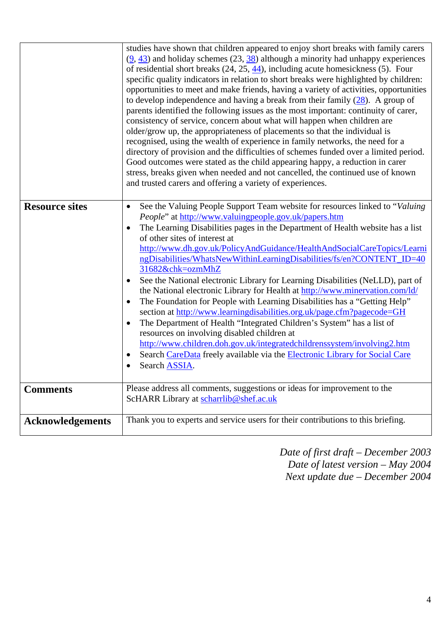|                         | studies have shown that children appeared to enjoy short breaks with family carers<br>$(9, 43)$ and holiday schemes (23, $38$ ) although a minority had unhappy experiences<br>of residential short breaks $(24, 25, \frac{44}{9})$ , including acute homesickness (5). Four<br>specific quality indicators in relation to short breaks were highlighted by children:<br>opportunities to meet and make friends, having a variety of activities, opportunities<br>to develop independence and having a break from their family $(28)$ . A group of<br>parents identified the following issues as the most important: continuity of carer,<br>consistency of service, concern about what will happen when children are<br>older/grow up, the appropriateness of placements so that the individual is<br>recognised, using the wealth of experience in family networks, the need for a<br>directory of provision and the difficulties of schemes funded over a limited period.<br>Good outcomes were stated as the child appearing happy, a reduction in carer<br>stress, breaks given when needed and not cancelled, the continued use of known<br>and trusted carers and offering a variety of experiences. |
|-------------------------|-------------------------------------------------------------------------------------------------------------------------------------------------------------------------------------------------------------------------------------------------------------------------------------------------------------------------------------------------------------------------------------------------------------------------------------------------------------------------------------------------------------------------------------------------------------------------------------------------------------------------------------------------------------------------------------------------------------------------------------------------------------------------------------------------------------------------------------------------------------------------------------------------------------------------------------------------------------------------------------------------------------------------------------------------------------------------------------------------------------------------------------------------------------------------------------------------------------|
| <b>Resource sites</b>   | See the Valuing People Support Team website for resources linked to "Valuing"<br>$\bullet$<br>People" at http://www.valuingpeople.gov.uk/papers.htm<br>The Learning Disabilities pages in the Department of Health website has a list<br>$\bullet$<br>of other sites of interest at<br>http://www.dh.gov.uk/PolicyAndGuidance/HealthAndSocialCareTopics/Learni<br>ngDisabilities/WhatsNewWithinLearningDisabilities/fs/en?CONTENT_ID=40<br>31682&chk=ozmMhZ<br>See the National electronic Library for Learning Disabilities (NeLLD), part of<br>the National electronic Library for Health at http://www.minervation.com/ld/<br>The Foundation for People with Learning Disabilities has a "Getting Help"<br>section at http://www.learningdisabilities.org.uk/page.cfm?pagecode=GH<br>The Department of Health "Integrated Children's System" has a list of<br>٠<br>resources on involving disabled children at<br>http://www.children.doh.gov.uk/integratedchildrenssystem/involving2.htm<br>Search CareData freely available via the Electronic Library for Social Care<br>Search ASSIA.                                                                                                                |
| <b>Comments</b>         | Please address all comments, suggestions or ideas for improvement to the<br>ScHARR Library at scharrlib@shef.ac.uk                                                                                                                                                                                                                                                                                                                                                                                                                                                                                                                                                                                                                                                                                                                                                                                                                                                                                                                                                                                                                                                                                          |
| <b>Acknowledgements</b> | Thank you to experts and service users for their contributions to this briefing.                                                                                                                                                                                                                                                                                                                                                                                                                                                                                                                                                                                                                                                                                                                                                                                                                                                                                                                                                                                                                                                                                                                            |

*Date of first draft – December 2003 Date of latest version – May 2004 Next update due – December 2004*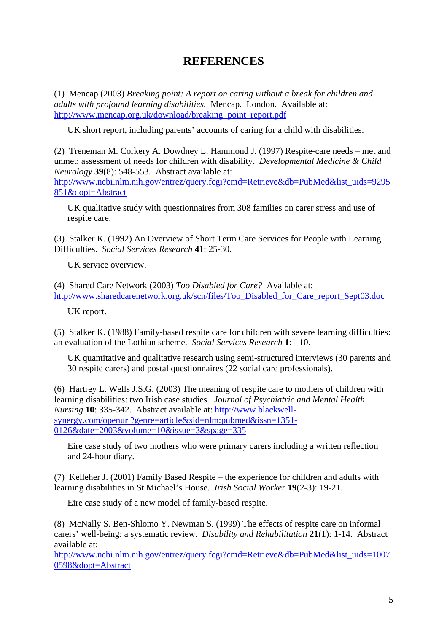## **REFERENCES**

(1) Mencap (2003) *Breaking point: A report on caring without a break for children and adults with profound learning disabilities.* Mencap. London. Available at: http://www.mencap.org.uk/download/breaking\_point\_report.pdf

UK short report, including parents' accounts of caring for a child with disabilities.

(2) Treneman M. Corkery A. Dowdney L. Hammond J. (1997) Respite-care needs – met and unmet: assessment of needs for children with disability. *Developmental Medicine & Child Neurology* **39**(8): 548-553. Abstract available at: http://www.ncbi.nlm.nih.gov/entrez/query.fcgi?cmd=Retrieve&db=PubMed&list\_uids=9295 851&dopt=Abstract

UK qualitative study with questionnaires from 308 families on carer stress and use of respite care.

(3) Stalker K. (1992) An Overview of Short Term Care Services for People with Learning Difficulties. *Social Services Research* **41**: 25-30.

UK service overview.

(4) Shared Care Network (2003) *Too Disabled for Care?* Available at: http://www.sharedcarenetwork.org.uk/scn/files/Too\_Disabled\_for\_Care\_report\_Sept03.doc

UK report.

(5) Stalker K. (1988) Family-based respite care for children with severe learning difficulties: an evaluation of the Lothian scheme. *Social Services Research* **1**:1-10.

UK quantitative and qualitative research using semi-structured interviews (30 parents and 30 respite carers) and postal questionnaires (22 social care professionals).

(6) Hartrey L. Wells J.S.G. (2003) The meaning of respite care to mothers of children with learning disabilities: two Irish case studies. *Journal of Psychiatric and Mental Health Nursing* **10**: 335-342. Abstract available at: http://www.blackwellsynergy.com/openurl?genre=article&sid=nlm:pubmed&issn=1351- 0126&date=2003&volume=10&issue=3&spage=335

Eire case study of two mothers who were primary carers including a written reflection and 24-hour diary.

(7) Kelleher J. (2001) Family Based Respite – the experience for children and adults with learning disabilities in St Michael's House. *Irish Social Worker* **19**(2-3): 19-21.

Eire case study of a new model of family-based respite.

(8) McNally S. Ben-Shlomo Y. Newman S. (1999) The effects of respite care on informal carers' well-being: a systematic review. *Disability and Rehabilitation* **21**(1): 1-14. Abstract available at:

http://www.ncbi.nlm.nih.gov/entrez/query.fcgi?cmd=Retrieve&db=PubMed&list\_uids=1007 0598&dopt=Abstract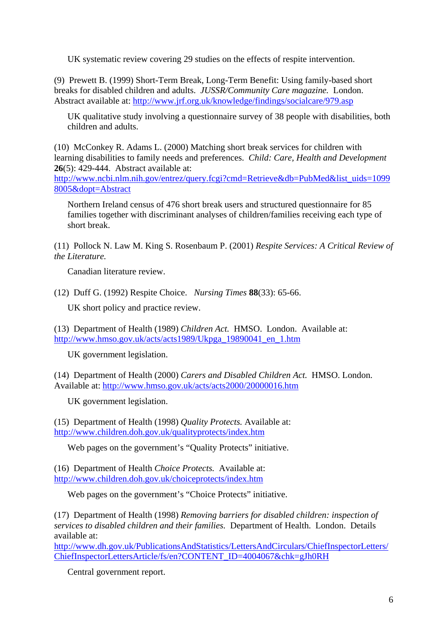UK systematic review covering 29 studies on the effects of respite intervention.

(9) Prewett B. (1999) Short-Term Break, Long-Term Benefit: Using family-based short breaks for disabled children and adults. *JUSSR/Community Care magazine.* London. Abstract available at: http://www.jrf.org.uk/knowledge/findings/socialcare/979.asp

UK qualitative study involving a questionnaire survey of 38 people with disabilities, both children and adults.

(10) McConkey R. Adams L. (2000) Matching short break services for children with learning disabilities to family needs and preferences. *Child: Care, Health and Development* **26**(5): 429-444. Abstract available at:

http://www.ncbi.nlm.nih.gov/entrez/query.fcgi?cmd=Retrieve&db=PubMed&list\_uids=1099 8005&dopt=Abstract

Northern Ireland census of 476 short break users and structured questionnaire for 85 families together with discriminant analyses of children/families receiving each type of short break.

(11) Pollock N. Law M. King S. Rosenbaum P. (2001) *Respite Services: A Critical Review of the Literature.*

Canadian literature review.

(12) Duff G. (1992) Respite Choice. *Nursing Times* **88**(33): 65-66.

UK short policy and practice review.

(13) Department of Health (1989) *Children Act.* HMSO. London. Available at: http://www.hmso.gov.uk/acts/acts1989/Ukpga\_19890041\_en\_1.htm

UK government legislation.

(14) Department of Health (2000) *Carers and Disabled Children Act.* HMSO. London. Available at: http://www.hmso.gov.uk/acts/acts2000/20000016.htm

UK government legislation.

(15) Department of Health (1998) *Quality Protects.* Available at: http://www.children.doh.gov.uk/qualityprotects/index.htm

Web pages on the government's "Quality Protects" initiative.

(16) Department of Health *Choice Protects.* Available at: http://www.children.doh.gov.uk/choiceprotects/index.htm

Web pages on the government's "Choice Protects" initiative.

(17) Department of Health (1998) *Removing barriers for disabled children: inspection of services to disabled children and their families.* Department of Health. London. Details available at:

http://www.dh.gov.uk/PublicationsAndStatistics/LettersAndCirculars/ChiefInspectorLetters/ ChiefInspectorLettersArticle/fs/en?CONTENT\_ID=4004067&chk=gJh0RH

Central government report.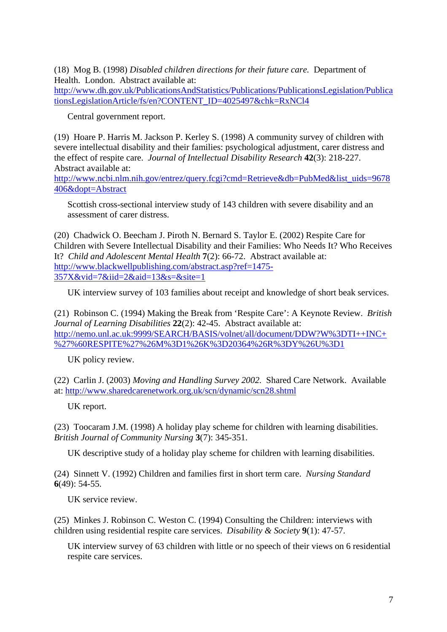(18) Mog B. (1998) *Disabled children directions for their future care.* Department of Health. London. Abstract available at: http://www.dh.gov.uk/PublicationsAndStatistics/Publications/PublicationsLegislation/Publica tionsLegislationArticle/fs/en?CONTENT\_ID=4025497&chk=RxNCl4

Central government report.

(19) Hoare P. Harris M. Jackson P. Kerley S. (1998) A community survey of children with severe intellectual disability and their families: psychological adjustment, carer distress and the effect of respite care. *Journal of Intellectual Disability Research* **42**(3): 218-227. Abstract available at:

http://www.ncbi.nlm.nih.gov/entrez/query.fcgi?cmd=Retrieve&db=PubMed&list\_uids=9678 406&dopt=Abstract

Scottish cross-sectional interview study of 143 children with severe disability and an assessment of carer distress.

(20) Chadwick O. Beecham J. Piroth N. Bernard S. Taylor E. (2002) Respite Care for Children with Severe Intellectual Disability and their Families: Who Needs It? Who Receives It? *Child and Adolescent Mental Health* **7**(2): 66-72. Abstract available at: http://www.blackwellpublishing.com/abstract.asp?ref=1475- 357X&vid=7&iid=2&aid=13&s=&site=1

UK interview survey of 103 families about receipt and knowledge of short beak services.

(21) Robinson C. (1994) Making the Break from 'Respite Care': A Keynote Review. *British Journal of Learning Disabilities* **22**(2): 42-45. Abstract available at: http://nemo.unl.ac.uk:9999/SEARCH/BASIS/volnet/all/document/DDW?W%3DTI++INC+ %27%60RESPITE%27%26M%3D1%26K%3D20364%26R%3DY%26U%3D1

UK policy review.

(22) Carlin J. (2003) *Moving and Handling Survey 2002.* Shared Care Network. Available at: http://www.sharedcarenetwork.org.uk/scn/dynamic/scn28.shtml

UK report.

(23) Toocaram J.M. (1998) A holiday play scheme for children with learning disabilities. *British Journal of Community Nursing* **3**(7): 345-351.

UK descriptive study of a holiday play scheme for children with learning disabilities.

(24) Sinnett V. (1992) Children and families first in short term care. *Nursing Standard* **6**(49): 54-55.

UK service review.

(25) Minkes J. Robinson C. Weston C. (1994) Consulting the Children: interviews with children using residential respite care services. *Disability & Society* **9**(1): 47-57.

UK interview survey of 63 children with little or no speech of their views on 6 residential respite care services.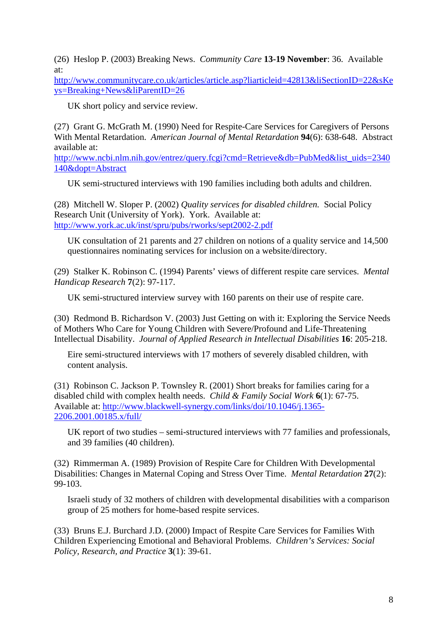(26) Heslop P. (2003) Breaking News. *Community Care* **13-19 November**: 36. Available at:

http://www.communitycare.co.uk/articles/article.asp?liarticleid=42813&liSectionID=22&sKe ys=Breaking+News&liParentID=26

UK short policy and service review.

(27) Grant G. McGrath M. (1990) Need for Respite-Care Services for Caregivers of Persons With Mental Retardation. *American Journal of Mental Retardation* **94**(6): 638-648. Abstract available at:

http://www.ncbi.nlm.nih.gov/entrez/query.fcgi?cmd=Retrieve&db=PubMed&list\_uids=2340 140&dopt=Abstract

UK semi-structured interviews with 190 families including both adults and children.

(28) Mitchell W. Sloper P. (2002) *Quality services for disabled children.* Social Policy Research Unit (University of York). York. Available at: http://www.york.ac.uk/inst/spru/pubs/rworks/sept2002-2.pdf

UK consultation of 21 parents and 27 children on notions of a quality service and 14,500 questionnaires nominating services for inclusion on a website/directory.

(29) Stalker K. Robinson C. (1994) Parents' views of different respite care services. *Mental Handicap Research* **7**(2): 97-117.

UK semi-structured interview survey with 160 parents on their use of respite care.

(30) Redmond B. Richardson V. (2003) Just Getting on with it: Exploring the Service Needs of Mothers Who Care for Young Children with Severe/Profound and Life-Threatening Intellectual Disability. *Journal of Applied Research in Intellectual Disabilities* **16**: 205-218.

Eire semi-structured interviews with 17 mothers of severely disabled children, with content analysis.

(31) Robinson C. Jackson P. Townsley R. (2001) Short breaks for families caring for a disabled child with complex health needs. *Child & Family Social Work* **6**(1): 67-75. Available at: http://www.blackwell-synergy.com/links/doi/10.1046/j.1365- 2206.2001.00185.x/full/

UK report of two studies – semi-structured interviews with 77 families and professionals, and 39 families (40 children).

(32) Rimmerman A. (1989) Provision of Respite Care for Children With Developmental Disabilities: Changes in Maternal Coping and Stress Over Time. *Mental Retardation* **27**(2): 99-103.

Israeli study of 32 mothers of children with developmental disabilities with a comparison group of 25 mothers for home-based respite services.

(33) Bruns E.J. Burchard J.D. (2000) Impact of Respite Care Services for Families With Children Experiencing Emotional and Behavioral Problems. *Children's Services: Social Policy, Research, and Practice* **3**(1): 39-61.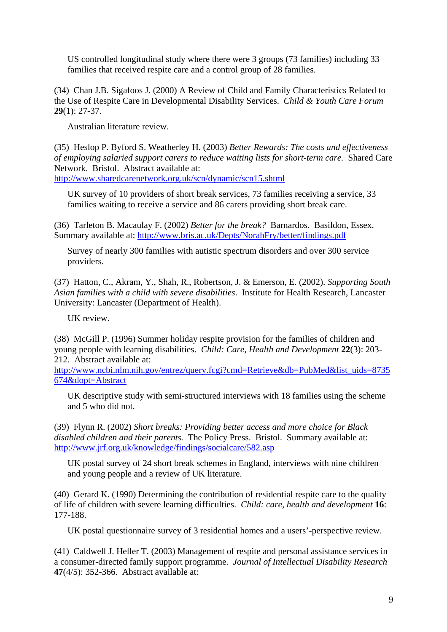US controlled longitudinal study where there were 3 groups (73 families) including 33 families that received respite care and a control group of 28 families.

(34) Chan J.B. Sigafoos J. (2000) A Review of Child and Family Characteristics Related to the Use of Respite Care in Developmental Disability Services. *Child & Youth Care Forum* **29**(1): 27-37.

Australian literature review.

(35) Heslop P. Byford S. Weatherley H. (2003) *Better Rewards: The costs and effectiveness of employing salaried support carers to reduce waiting lists for short-term care.* Shared Care Network. Bristol. Abstract available at: http://www.sharedcarenetwork.org.uk/scn/dynamic/scn15.shtml

UK survey of 10 providers of short break services, 73 families receiving a service, 33 families waiting to receive a service and 86 carers providing short break care.

(36) Tarleton B. Macaulay F. (2002) *Better for the break?* Barnardos. Basildon, Essex. Summary available at: http://www.bris.ac.uk/Depts/NorahFry/better/findings.pdf

Survey of nearly 300 families with autistic spectrum disorders and over 300 service providers.

(37) Hatton, C., Akram, Y., Shah, R., Robertson, J. & Emerson, E. (2002). *Supporting South Asian families with a child with severe disabilities*. Institute for Health Research, Lancaster University: Lancaster (Department of Health).

UK review.

(38) McGill P. (1996) Summer holiday respite provision for the families of children and young people with learning disabilities. *Child: Care, Health and Development* **22**(3): 203- 212. Abstract available at:

http://www.ncbi.nlm.nih.gov/entrez/query.fcgi?cmd=Retrieve&db=PubMed&list\_uids=8735 674&dopt=Abstract

UK descriptive study with semi-structured interviews with 18 families using the scheme and 5 who did not.

(39) Flynn R. (2002) *Short breaks: Providing better access and more choice for Black disabled children and their parents.* The Policy Press. Bristol. Summary available at: http://www.jrf.org.uk/knowledge/findings/socialcare/582.asp

UK postal survey of 24 short break schemes in England, interviews with nine children and young people and a review of UK literature.

(40) Gerard K. (1990) Determining the contribution of residential respite care to the quality of life of children with severe learning difficulties. *Child: care, health and development* **16**: 177-188.

UK postal questionnaire survey of 3 residential homes and a users'-perspective review.

(41) Caldwell J. Heller T. (2003) Management of respite and personal assistance services in a consumer-directed family support programme. *Journal of Intellectual Disability Research* **47**(4/5): 352-366. Abstract available at: